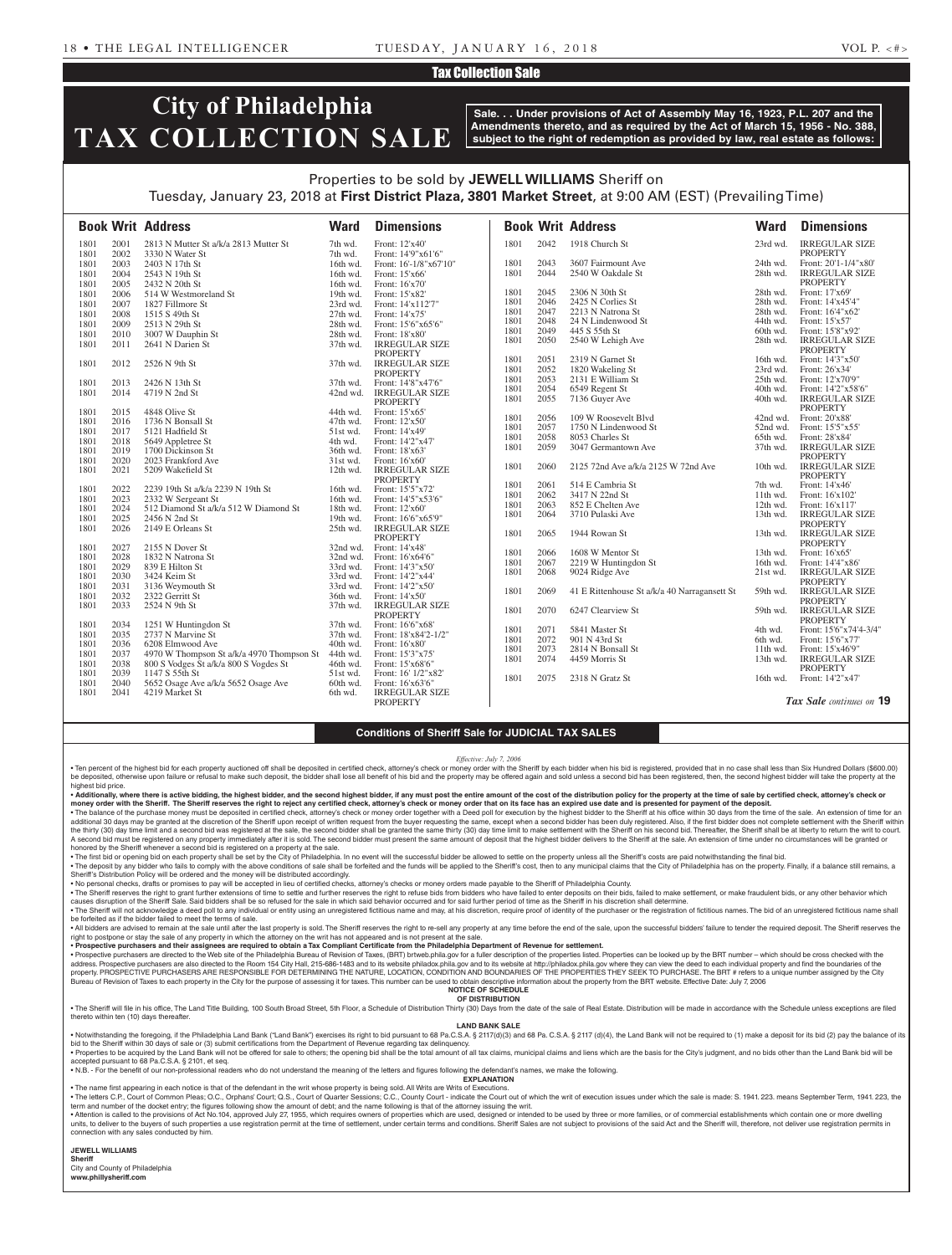#### Tax Collection Sale

# **City of Philadelphia TAX COLLECTION SALE**

**Sale. . . Under provisions of Act of Assembly May 16, 1923, P.L. 207 and the Amendments thereto, and as required by the Act of March 15, 1956 - No. 388, subject to the right of redemption as provided by law, real estate as follows:**

# Properties to be sold by **JEWELL WILLIAMS** Sheriff on Tuesday, January 23, 2018 at **First District Plaza, 3801 Market Street**, at 9:00 AM (EST) (Prevailing Time)

1801 2042 1918 Church St 23rd wd. IRREGULAR SIZE PROPERTY 1801 2043 3607 Fairmount Ave 24th wd. Front: 20'1-1/4"x80' 1801 2044 2540 W Oakdale St 28th wd. IRREGULAR SIZE PROPERTY<br>Front: 17'x69' 1801 2045 2306 N 30th St 28th wd. 1801 2046 2425 N Corlies St 28th wd. Front: 14'x45'4" 1801 2047 2213 N Natrona St 28th wd. Front: 16'4"x6<br>
1801 2048 24 N Lindenwood St 44th wd. Front: 15'x57' 1801 2048 24 N Lindenwood St 44th wd.<br>1801 2049 445 S 55th St 60th wd. 1801 2049 445 S 55th St 60th wd. Front: 15'8"x92' 2050 2540 W Lehigh Ave PROPERTY<br>Front: 14'3"x50 1801 2051 2319 N Garnet St 16th wd. Front: 14'3"x54'<br>1801 2052 1820 Wakeling St 23rd wd. Front: 26'x34' 1820 Wakeling St 23rd wd. Front: 26'x34'<br>2131 E William St 25th wd. Front: 12'x70'9" 1801 2053 2131 E William St 1801 2054 6549 Regent St 40th wd. Front: 14'2"x58'6<br>
1801 2055 7136 Guyer Ave 40th wd. IRREGULAR SL 1801 2055 7136 Guyer Ave 40th wd. IRREGULAR SIZE PROPERTY<br>Front: 20'x88 1801 2056 109 W Roosevelt Blvd 42nd wd. Front: 20'x88' 2057 1750 N Lindenwood St 52nd wd. Front: 15'5"x54"<br>2058 8053 Charles St 65th wd. Front: 28'x84' 1801 2058 8053 Charles St 65th wd. Front: 28'x84'<br>1801 2059 3047 Germantown Ave 37th wd. IRREGULAR SIZE 1801 2059 3047 Germantown Ave PROPERTY<br>IRREGULAR SIZE 1801 2060 2125 72nd Ave a/k/a 2125 W 72nd Ave 10th wd. PROPERTY<br>Front: 14'x46' 1801 2061 514 E Cambria St 7th wd. Front: 14'x46' 1801 2062 3417 N 22nd St 11th wd. Front: 16'x102'<br>1801 2063 852 E Chelten Ave 12th wd. Front: 16'x117' 1801 2063 852 E Chelten Ave 12th wd. Front: 16'x117'<br>1801 2064 3710 Pulaski Ave 13th wd IRREGULAR SIZE 1801 2064 3710 Pulaski Ave 13th wd. PROPERTY<br>IRREGULAR SIZE 1801 2065 1944 Rowan St 13th wd. PROPERTY<br>Front: 16'x65' 1801 2066 1608 W Mentor St 13th wd. Front: 16'x65'<br>1801 2067 2219 W Huntingdon St 16th wd. Front: 14'4"x86' 1801 2067 2219 W Huntingdon St 16th wd.<br>1801 2068 9024 Ridge Ave 21st wd. 21st wd. IRREGULAR SIZE PROPERTY<br>IRREGULAR SIZE 1801 2069 41 E Rittenhouse St a/k/a 40 Narragansett St 59th wd. **PROPERTY** 1801 2070 6247 Clearview St 59th wd. IRREGULAR SIZE PROPERTY 1801 2071 5841 Master St 4th wd. Front: 15'6"x74'4-3/4" 1801 2072 901 N 43rd St 6th wd. Front: 15'6"x77'<br>1801 2073 2814 N Bonsall St 11th wd Front: 15'x46'9" 1801 2073 2814 N Bonsall St 11th wd.<br>1801 2074 4459 Morris St 13th wd. 1801 2074 4459 Morris St 13th wd. IRREGULAR SIZE PROPERTY 1801 2075 2318 N Gratz St 16th wd. Front: 14'2"x47' **Book Writ Address Ward Dimensions Book Writ Address Ward Dimensions** 1801 2001 2813 N Mutter St a/k/a 2813 Mutter St 7th wd. Front: 12'x40'<br>1801 2002 3330 N Water St 7th wd. Front: 14'9"x6 1801 2002 3330 N Water St 7th wd. Front: 14'9"x61'6"<br>1801 2003 2403 N 17th St 16th wd. Front: 16'-1/8"x67" 16th wd. Front: 16'-1/8"x67'10" 1801 2004 2543 N 19th St 16th wd. Front: 15'x66' 1801 2005 2432 N 20th St 16th wd. Front: 16'x70' 1801 2006 514 W Westmoreland St 19th wd. Front: 15'x82' 1801 2007 1827 Fillmore St 23rd wd. Front: 14'x112'7" 1801 2008 1515 S 49th St 27th wd.<br>1801 2009 2513 N 29th St 28th wd.<br>28th wd. 1801 2009 2513 N 29th St 28th wd. Front: 15'6"x65'6"<br>
1801 2010 3007 W Dauphin St 28th wd. Front: 18'x80' 3007 W Dauphin St<br>2641 N Darien St 1801 2011 2641 N Darien St 37th wd. IRREGULAR SIZE PROPERTY 1801 2012 2526 N 9th St 37th wd. IRREGULAR SIZE PROPERTY 1801 2013 2426 N 13th St 37th wd. Front: 14'8"x47'6"<br>
1801 2014 4719 N 2nd St 42nd wd. IRREGULAR SIZ 42nd wd. IRREGULAR SIZE PROPERTY<br>Front: 15'x65 1801 2015 4848 Olive St 44th wd. Front: 15'x65' 44th 2016 1736 N Bonsall St 47th wd. Front: 12'x50' 1736 N Bonsall St 47th wd.<br>
5121 Hadfield St 51st wd. 1801 2017 5121 Hadfield St 51st wd. Front: 14'x49' 1801 2018 5649 Appletree St 4th wd. Front: 14'2"x47" 1801 2019 1700 Dickinson St 36th wd. Front: 18'x63'<br>1801 2020 2023 Frankford Ave 31st wd. Front: 16'x60' 1801 2020 2023 Frankford Ave 31st wd. Front: 16'x60' 5209 Wakefield St PROPERTY<br>Front: 15'5"x72 1801 2022 2239 19th St a/k/a 2239 N 19th St 16th wd. Front: 15'5" x72'<br>1801 2023 2332 W Sergeant St 16th wd. Front: 14'5" x53'6" 1801 2023 2332 W Sergeant St 16th wd. Front: 14'5"x5<br>
1801 2024 512 Diamond St a/k/a 512 W Diamond St 18th wd. Front: 12'x60' 512 Diamond St a/k/a 512 W Diamond St 1801 2025 2456 N 2nd St 19th wd. Front: 16'6"x65'9" 1801 2026 2149 E Orleans St 25th wd. IRREGULAR SIZE PROPERTY<br>Front: 14'x48' 1801 2027 2155 N Dover St 32nd wd. Front: 14'x48' 1801 2028 1832 N Natrona St 32nd wd.<br>1801 2029 839 E Hilton St 33rd wd. 53rd wd. 2029 839 E Hilton St<br>
2030 3424 Keim St<br>
33rd wd. Front: 14'2"x44" 1801 2030 3424 Keim St 33rd wd. Front: 14'2"x44' 1801 2031 3136 Weymouth St 33rd wd. Front: 14'2"x50' 2032 2322 Gerritt St<br>2033 2524 N 9th St 1801 2033 2524 N 9th St 37th wd. IRREGULAR SIZE **PROPERTY** 1801 2034 1251 W Huntingdon St 37th wd. Front: 16'6"x68' Front: 18'x84'2-1/2"<br>Front: 16'x80' 1801 2036 6208 Elmwood Ave 40th wd. 1801 2037 4970 W Thompson St a/k/a 4970 Thompson St 44th wd. Front: 15'3"x75<br>1801 2038 800 S Vodees St a/k/a 800 S Vogdes St 46th wd. Front: 15'x68'6' 1801 2038 800 S Vodges St a/k/a 800 S Vogdes St 46th wd.<br>1801 2039 1147 S 55th St 51st wd. 1801 2039 1147 S 55th St 51st wd. Front: 16' 1/2"x82"<br>1801 2040 5652 Osage Ave a/k/a 5652 Osage Ave 60th wd. Front: 16'x63'6" 5652 Osage Ave a/k/a 5652 Osage Ave 4219 Market St 1801 2041 4219 Market St 6th wd. IRREGULAR SIZE PROPERTY *Tax Sale continues on* **19**

### **Conditions of Sheriff Sale for JUDICIAL TAX SALES**

*Effective: July 7, 2006*

. Ten percent of the highest bid for each property auctioned off shall be deposited in certified check, attorney's check or money order with the Sheriff by each bidder when his bid is registered, provided that in no case s be deposited, otherwise upon failure or refusal to make such deposit, the bidder shall lose all benefit of his bid and the property may be offered again and sold unless a second bid has been registered, then, the second hi highest bid price.

## . Additionally, where there is active bidding, the highest bidder, and the second highest bidder, if any must post the entire amount of the cost of the distribution policy for the property at the time of sale by certified

money order with the Sheriff. The Sheriff reserves the right to reject any certified check, attorney's check or money order that on its face has an expired use date and is presented for payment of the deposit.<br>• The balanc additional 30 days may be granted at the discretion of the Sheriff upon receipt of written request from the buyer requesting the same, except when a second bidder has been duly registered. Also, if the first bidder does no A second bid must be registered on any property immediately after it is sold. The second bidder must present the same amount of deposit that the highest bidder delivers to the Sheriff at the sale. An extension of time unde honored by the Sheriff whenever a second bid is registered on a property at the sale.

. The first bid or opening bid on each property shall be set by the City of Philadelphia. In no event will the successful bidder be allowed to settle on the property unless all the Sheriff's costs are paid notwithstanding . The deposit by any bidder who fails to comply with the above conditions of sale shall be forfeited and the funds will be applied to the Sheriff's cost, then to any municipal claims that the City of Philadelphia has on th Sheriff's Distribution Policy will be ordered and the money will be distributed accordingly.

• No personal checks, drafts or promises to pay will be accepted in lieu of certified checks, attorney's checks or money orders made payable to the Sheriff of Philadelphia County.<br>• The Sheriff reserves the right to grant

causes disruption of the Sheriff Sale. Said bidders shall be so refused for the sale in which said behavior occurred and for said further period of time as the Sheriff in his discretion shall determine. . The Sheriff will not acknowledge a deed poll to any individual or entity using an unregistered fictitious name and may, at his discretion, require proof of identity of the purchaser or the registration of fictitious name

be forfeited as if the bidder failed to meet the terms of sale. . All bidders are advised to remain at the sale until after the last property is sold. The Sheriff reserves the right to re-sell any property at any time before the end of the sale, upon the successful bidders' failure to

right to postpone or stay the sale of any property in which the attorney on the writ has not appeared and is not present at the sale.<br>• Prospective purchasers and their assignees are required to obtain a Tax Compliant Cert

· Prospective purchasers are directed to the Web site of the Philadelphia Bureau of Revision of Taxes, (BRT) brtweb phila.gov for a fuller description of the properties listed. Properties can be looked up by the BRT number address. Prospective purchasers are also directed to the Room 154 City Hall, 215-686-1483 and to its website philadox.phila.gov and to its website at http://philadox.phila.gov where they can view the deed to each individua Bureau of Revision of Taxes to each property in the City for the purpose of assessing it for taxes. This number can be used to obtain descriptive information about the property from the BRT website. Effective Date: July 7,

#### **NOTICE OF SCHEDULE OF DISTRIBUTION**

. The Sheriff will file in his office, The Land Title Building, 100 South Broad Street, 5th Floor, a Schedule of Distribution Thirty (30) Days from the date of the sale of Real Estate. Distribution will be made in accordan thereto within ten (10) days thereafte

#### **LAND BANK SALE**

. Notwithstanding the foregoing, if the Philadelphia Land Bank ("Land Bank") exercises its right to bid pursuant to 68 Pa.C.S.A. § 2117(d)(3) and 68 Pa. C.S.A. § 2117 (d)(4), the Land Bank will not be required to (1) make from the Department of Revenue regarding tax delinquency

. Properties to be acquired by the Land Bank will not be offered for sale to others; the opening bid shall be the total amount of all tax claims, municipal claims and liens which are the basis for the City's judgment, and accepted pursuant to 68 Pa.C.S.A. § 2101, et seq. • N.B. - For the benefit of our non-professional readers who do not understand the meaning of the letters and figures following the defendant's names, we make the following.

**EXPLANATION** 

• The name first appearing in each notice is that of the defendant in the writ whose property is being sold. All Writs are Writs of Executions.

• The letters C.P., Court of Common Pleas; O.C., Orphans' Court; Q.S., Court of Quarter Sessions; C.C., County Court - indicate the Court out of which the writ of execution issues under which the sale is made: S. 1941. 223 . Attention is called to the provisions of Act No.104, approved July 27, 1955, which requires owners of properties which are used, designed or intended to be used by three or more families, or of commercial establishments

units, to deliver to the buyers of such properties a use registration permit at the time of settlement, under certain terms and conditions. Sheriff Sales are not subject to provisions of the said Act and the Sheriff will, connection with any sales conducted by him.

**JEWELL WILLIAMS Sheriff**  City and County of Philadelphia

**www.phillysheriff.com**